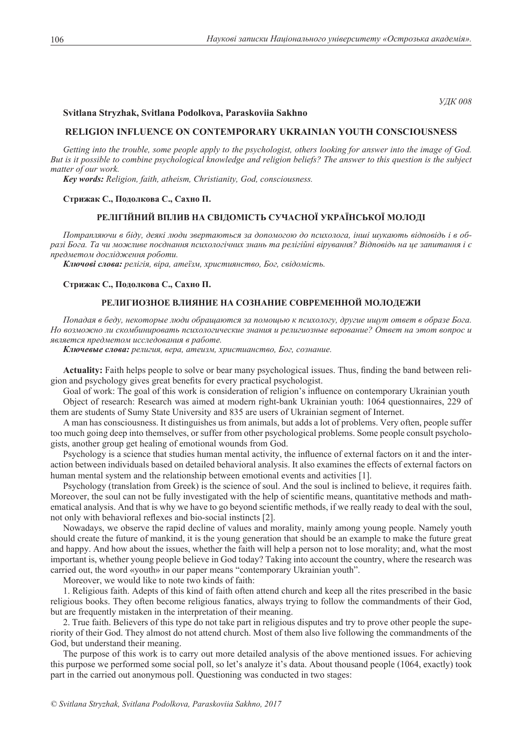*УДК 008*

# **Svitlana Stryzhak, Svitlana Podolkova, Paraskoviia Sakhno**

## **RELIGION INFLUENCE ON CONTEMPORARY UKRAINIAN YOUTH CONSCIOUSNESS**

*Getting into the trouble, some people apply to the psychologist, others looking for answer into the image of God. But is it possible to combine psychological knowledge and religion beliefs? The answer to this question is the subject matter of our work.*

*Key words: Religion, faith, atheism, Christianity, God, consciousness.*

#### **Стрижак С., Подолкова С., Сахно П.**

# **Релігійний вплив на свідомість сучасної української молоді**

*Потрапляючи в біду, деякі люди звертаються за допомогою до психолога, інші шукають відповідь і в образі Бога. Та чи можливе поєднання психологічних знань та релігійні вірування? Відповідь на це запитання і є предметом дослідження роботи.*

*Ключові слова: релігія, віра, атеїзм, християнство, Бог, свідомість.*

### **Стрижак С., Подолкова С., Сахно П.**

## **Религиозное влияние на сознание современной молодежи**

*Попадая в беду, некоторые люди обращаются за помощью к психологу, другие ищут ответ в образе Бога. Но возможно ли скомбинировать психологические знания и религиозные верование? Ответ на этот вопрос и является предметом исследования в работе.*

*Ключевые слова: религия, вера, атеизм, христианство, Бог, сознание.*

**Actuality:** Faith helps people to solve or bear many psychological issues. Thus, finding the band between religion and psychology gives great benefits for every practical psychologist.

Goal of work: The goal of this work is consideration of religion's influence on contemporary Ukrainian youth Object of research: Research was aimed at modern right-bank Ukrainian youth: 1064 questionnaires, 229 of them are students of Sumy State University and 835 are users of Ukrainian segment of Internet.

A man has consciousness. It distinguishes us from animals, but adds a lot of problems. Very often, people suffer too much going deep into themselves, or suffer from other psychological problems. Some people consult psychologists, another group get healing of emotional wounds from God.

Psychology is a science that studies human mental activity, the influence of external factors on it and the interaction between individuals based on detailed behavioral analysis. It also examines the effects of external factors on human mental system and the relationship between emotional events and activities [1].

Psychology (translation from Greek) is the science of soul. And the soul is inclined to believe, it requires faith. Moreover, the soul can not be fully investigated with the help of scientific means, quantitative methods and mathematical analysis. And that is why we have to go beyond scientific methods, if we really ready to deal with the soul, not only with behavioral reflexes and bio-social instincts [2].

Nowadays, we observe the rapid decline of values and morality, mainly among young people. Namely youth should create the future of mankind, it is the young generation that should be an example to make the future great and happy. And how about the issues, whether the faith will help a person not to lose morality; and, what the most important is, whether young people believe in God today? Taking into account the country, where the research was carried out, the word «youth» in our paper means "contemporary Ukrainian youth".

Moreover, we would like to note two kinds of faith:

1. Religious faith. Adepts of this kind of faith often attend church and keep all the rites prescribed in the basic religious books. They often become religious fanatics, always trying to follow the commandments of their God, but are frequently mistaken in the interpretation of their meaning.

2. True faith. Believers of this type do not take part in religious disputes and try to prove other people the superiority of their God. They almost do not attend church. Most of them also live following the commandments of the God, but understand their meaning.

The purpose of this work is to carry out more detailed analysis of the above mentioned issues. For achieving this purpose we performed some social poll, so let's analyze it's data. About thousand people (1064, exactly) took part in the carried out anonymous poll. Questioning was conducted in two stages: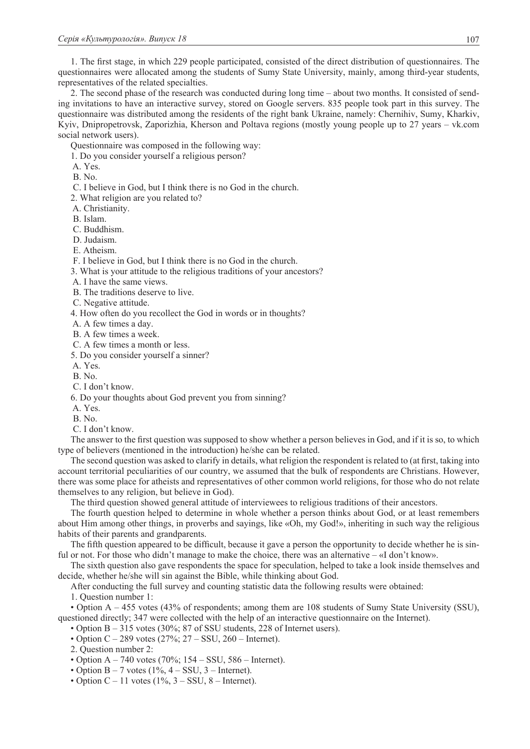1. The first stage, in which 229 people participated, consisted of the direct distribution of questionnaires. The questionnaires were allocated among the students of Sumy State University, mainly, among third-year students, representatives of the related specialties.

2. The second phase of the research was conducted during long time – about two months. It consisted of sending invitations to have an interactive survey, stored on Google servers. 835 people took part in this survey. The questionnaire was distributed among the residents of the right bank Ukraine, namely: Chernihiv, Sumy, Kharkiv, Kyiv, Dnipropetrovsk, Zaporizhia, Kherson and Poltava regions (mostly young people up to 27 years – vk.com social network users).

Questionnaire was composed in the following way:

1. Do you consider yourself a religious person?

A. Yes.

B. No.

C. I believe in God, but I think there is no God in the church.

2. What religion are you related to?

A. Christianity.

B. Islam.

C. Buddhism.

D. Judaism.

E. Atheism.

F. I believe in God, but I think there is no God in the church.

3. What is your attitude to the religious traditions of your ancestors?

A. I have the same views.

B. The traditions deserve to live.

C. Negative attitude.

4. How often do you recollect the God in words or in thoughts?

A. A few times a day.

B. A few times a week.

C. A few times a month or less.

5. Do you consider yourself a sinner?

A. Yes.

B. No.

C. I don't know.

6. Do your thoughts about God prevent you from sinning?

A. Yes.

B. No.

C. I don't know.

The answer to the first question was supposed to show whether a person believes in God, and if it is so, to which type of believers (mentioned in the introduction) he/she can be related.

The second question was asked to clarify in details, what religion the respondent is related to (at first, taking into account territorial peculiarities of our country, we assumed that the bulk of respondents are Christians. However, there was some place for atheists and representatives of other common world religions, for those who do not relate themselves to any religion, but believe in God).

The third question showed general attitude of interviewees to religious traditions of their ancestors.

The fourth question helped to determine in whole whether a person thinks about God, or at least remembers about Him among other things, in proverbs and sayings, like «Oh, my God!», inheriting in such way the religious habits of their parents and grandparents.

The fifth question appeared to be difficult, because it gave a person the opportunity to decide whether he is sinful or not. For those who didn't manage to make the choice, there was an alternative – «I don't know».

The sixth question also gave respondents the space for speculation, helped to take a look inside themselves and decide, whether he/she will sin against the Bible, while thinking about God.

After conducting the full survey and counting statistic data the following results were obtained:

1. Question number 1:

• Option A – 455 votes (43% of respondents; among them are 108 students of Sumy State University (SSU), questioned directly; 347 were collected with the help of an interactive questionnaire on the Internet).

• Option B – 315 votes (30%; 87 of SSU students, 228 of Internet users).

• Option  $C - 289$  votes  $(27\%; 27 - SSU, 260 - Internet)$ .

2. Question number 2:

• Option  $A - 740$  votes (70%; 154 – SSU, 586 – Internet).

• Option  $B - 7$  votes  $(1\%, 4 - SSU, 3 - Internet)$ .

• Option  $C - 11$  votes  $(1\%, 3 - SSU, 8 - Internet)$ .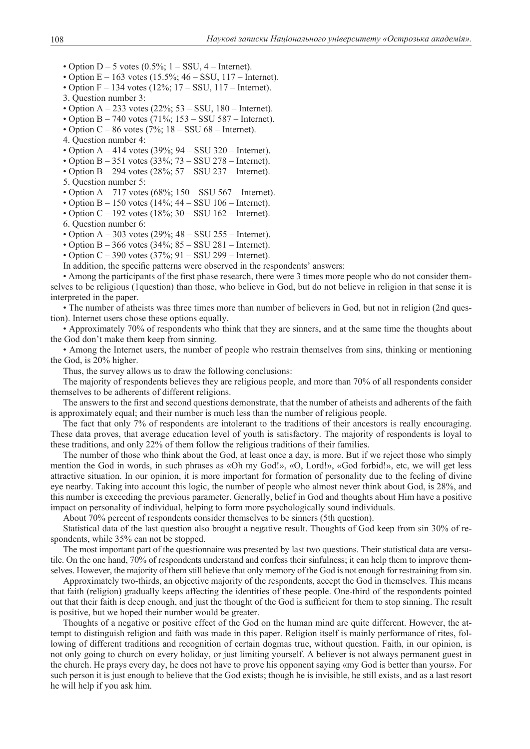• Option  $D - 5$  votes  $(0.5\%; 1 - SSU, 4 - Internet)$ .

- Option  $E 163$  votes  $(15.5\%; 46 SSU, 117 Internet)$ .
- Option  $F 134$  votes  $(12\%; 17 SSU, 117 Internet)$ .
- 3. Question number 3:
- Option  $A 233$  votes  $(22\%; 53 SSU, 180 Internet)$ .
- Option B 740 votes  $(71\%; 153 SSU 587 Internet)$ .
- Option  $C 86$  votes (7%;  $18 SSU$  68 Internet).
- 4. Question number 4:
- Option  $A 414$  votes (39%;  $94 SSU$  320 Internet).
- Option B 351 votes  $(33\%; 73 -$ SSU 278 Internet).
- Option  $B 294$  votes  $(28\%; 57 SSU 237 Internet)$ .
- 5. Question number 5:
- Option  $A 717$  votes  $(68\% : 150 SSU 567 Internet)$ .
- Option  $B 150$  votes  $(14\%; 44 SSU 106 Internet)$ .
- Option  $C 192$  votes  $(18\%; 30 SSU 162 Internet)$ .
- 6. Question number 6:
- Option  $A 303$  votes (29%;  $48 SSU 255 Internet$ ).
- Option B 366 votes  $(34\%; 85 \text{SSU } 281 \text{Internet}).$
- Option  $C 390$  votes  $(37\%; 91 SSU 299 Internet)$ .
- In addition, the specific patterns were observed in the respondents' answers:

• Among the participants of the first phase research, there were 3 times more people who do not consider themselves to be religious (1question) than those, who believe in God, but do not believe in religion in that sense it is interpreted in the paper.

• The number of atheists was three times more than number of believers in God, but not in religion (2nd question). Internet users chose these options equally.

• Approximately 70% of respondents who think that they are sinners, and at the same time the thoughts about the God don't make them keep from sinning.

• Among the Internet users, the number of people who restrain themselves from sins, thinking or mentioning the God, is 20% higher.

Thus, the survey allows us to draw the following conclusions:

The majority of respondents believes they are religious people, and more than 70% of all respondents consider themselves to be adherents of different religions.

The answers to the first and second questions demonstrate, that the number of atheists and adherents of the faith is approximately equal; and their number is much less than the number of religious people.

The fact that only 7% of respondents are intolerant to the traditions of their ancestors is really encouraging. These data proves, that average education level of youth is satisfactory. The majority of respondents is loyal to these traditions, and only 22% of them follow the religious traditions of their families.

The number of those who think about the God, at least once a day, is more. But if we reject those who simply mention the God in words, in such phrases as «Oh my God!», «O, Lord!», «God forbid!», etc, we will get less attractive situation. In our opinion, it is more important for formation of personality due to the feeling of divine eye nearby. Taking into account this logic, the number of people who almost never think about God, is 28%, and this number is exceeding the previous parameter. Generally, belief in God and thoughts about Him have a positive impact on personality of individual, helping to form more psychologically sound individuals.

About 70% percent of respondents consider themselves to be sinners (5th question).

Statistical data of the last question also brought a negative result. Thoughts of God keep from sin 30% of respondents, while 35% can not be stopped.

The most important part of the questionnaire was presented by last two questions. Their statistical data are versatile. On the one hand, 70% of respondents understand and confess their sinfulness; it can help them to improve themselves. However, the majority of them still believe that only memory of the God is not enough for restraining from sin.

Approximately two-thirds, an objective majority of the respondents, accept the God in themselves. This means that faith (religion) gradually keeps affecting the identities of these people. One-third of the respondents pointed out that their faith is deep enough, and just the thought of the God is sufficient for them to stop sinning. The result is positive, but we hoped their number would be greater.

Thoughts of a negative or positive effect of the God on the human mind are quite different. However, the attempt to distinguish religion and faith was made in this paper. Religion itself is mainly performance of rites, following of different traditions and recognition of certain dogmas true, without question. Faith, in our opinion, is not only going to church on every holiday, or just limiting yourself. A believer is not always permanent guest in the church. He prays every day, he does not have to prove his opponent saying «my God is better than yours». For such person it is just enough to believe that the God exists; though he is invisible, he still exists, and as a last resort he will help if you ask him.